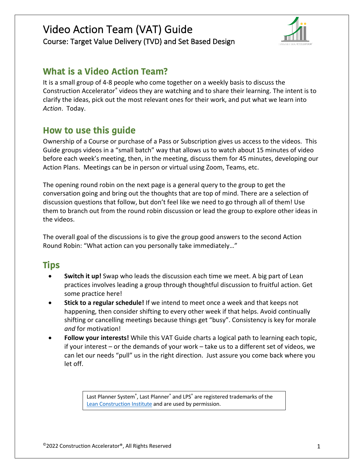

# **What is a Video Action Team?**

It is a small group of 4-8 people who come together on a weekly basis to discuss the Construction Accelerator® videos they are watching and to share their learning. The intent is to clarify the ideas, pick out the most relevant ones for their work, and put what we learn into *Action*. Today.

# **How to use this guide**

Ownership of a Course or purchase of a Pass or Subscription gives us access to the videos. This Guide groups videos in a "small batch" way that allows us to watch about 15 minutes of video before each week's meeting, then, in the meeting, discuss them for 45 minutes, developing our Action Plans. Meetings can be in person or virtual using Zoom, Teams, etc.

The opening round robin on the next page is a general query to the group to get the conversation going and bring out the thoughts that are top of mind. There are a selection of discussion questions that follow, but don't feel like we need to go through all of them! Use them to branch out from the round robin discussion or lead the group to explore other ideas in the videos.

The overall goal of the discussions is to give the group good answers to the second Action Round Robin: "What action can you personally take immediately…"

# **Tips**

- **Switch it up!** Swap who leads the discussion each time we meet. A big part of Lean practices involves leading a group through thoughtful discussion to fruitful action. Get some practice here!
- **Stick to a regular schedule!** If we intend to meet once a week and that keeps not happening, then consider shifting to every other week if that helps. Avoid continually shifting or cancelling meetings because things get "busy". Consistency is key for morale *and* for motivation!
- **Follow your interests!** While this VAT Guide charts a logical path to learning each topic, if your interest – or the demands of your work – take us to a different set of videos, we can let our needs "pull" us in the right direction. Just assure you come back where you let off.

Last Planner System®, Last Planner® and LPS® are registered trademarks of the Lean Construction Institute and are used by permission.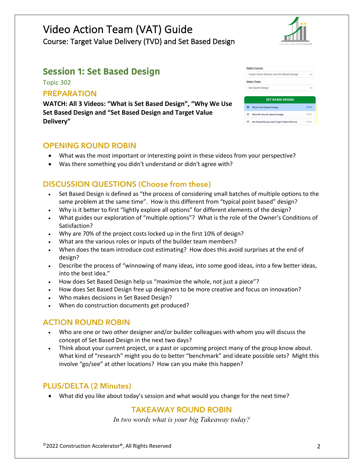

# **Session 1: Set Based Design**

Topic 302

### **PREPARATION**

**WATCH: All 3 Videos: "What is Set Based Design", "Why We Use Set Based Design and "Set Based Design and Target Value Delivery"** 

### **OPENING ROUND ROBIN**

- What was the most important or interesting point in these videos from your perspective?
- Was there something you didn't understand or didn't agree with?

## **DISCUSSION QUESTIONS (Choose from these)**

- Set Based Design is defined as "the process of considering small batches of multiple options to the same problem at the same time". How is this different from "typical point based" design?
- Why is it better to first "lightly explore all options" for different elements of the design?
- What guides our exploration of "multiple options"? What is the role of the Owner's Conditions of Satisfaction?
- Why are 70% of the project costs locked up in the first 10% of design?
- What are the various roles or inputs of the builder team members?
- When does the team introduce cost estimating? How does this avoid surprises at the end of design?
- Describe the process of "winnowing of many ideas, into some good ideas, into a few better ideas, into the best idea."
- How does Set Based Design help us "maximize the whole, not just a piece"?
- How does Set Based Design free up designers to be more creative and focus on innovation?
- Who makes decisions in Set Based Design?
- When do construction documents get produced?

### **ACTION ROUND ROBIN**

- Who are one or two other designer and/or builder colleagues with whom you will discuss the concept of Set Based Design in the next two days?
- Think about your current project, or a past or upcoming project many of the group know about. What kind of "research" might you do to better "benchmark" and ideate possible sets? Might this involve "go/see" at other locations? How can you make this happen?

### **PLUS/DELTA (2 Minutes)**

• What did you like about today's session and what would you change for the next time?

### **TAKEAWAY ROUND ROBIN**

|   | <b>Select Course:</b>                             |       |
|---|---------------------------------------------------|-------|
|   | Target Value Delivery and Set Based Design        | ÷     |
|   | <b>Select Topic:</b>                              |       |
|   | Set Based Design                                  | ۵     |
|   |                                                   |       |
|   | <b>SET BASED DESIGN</b>                           |       |
|   | <b>What is Set-Based Design</b>                   | 03:34 |
| o | Why We Use Set-Based Design                       | 05:23 |
|   | <b>Set-Based Design and Target Value Delivery</b> | 05:43 |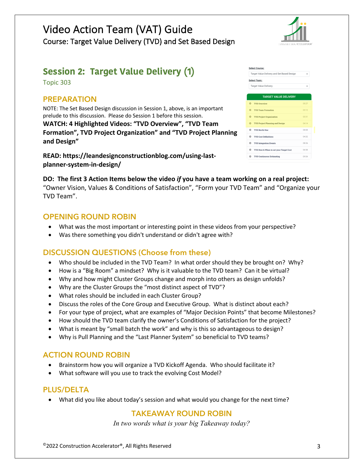

# **Session 2: Target Value Delivery (1)**

Topic 303

### **PREPARATION**

NOTE: The Set Based Design discussion in Session 1, above, is an important prelude to this discussion. Please do Session 1 before this session. **WATCH: 4 Highlighted Videos: "TVD Overview", "TVD Team Formation", TVD Project Organization" and "TVD Project Planning and Design"**

**READ: https://leandesignconstructionblog.com/using-lastplanner-system-in-design/**

| <b>Select Course:</b>                       |       |
|---------------------------------------------|-------|
| Target Value Delivery and Set Based Design  | ٠     |
| <b>Select Topic:</b>                        |       |
| <b>Target Value Delivery</b>                | ٠     |
| <b>TARGET VALUE DELIVERY</b>                |       |
| ٥<br><b>TVD Overview</b>                    | 05:27 |
| $\Omega$<br><b>TVD Team Formation</b>       | 03:12 |
| $\circ$<br><b>TVD Project Organization</b>  | 03:31 |
| <b>TVD Project Planning and Design</b><br>റ | 04:14 |
| o<br><b>TVD North Star</b>                  | 08:08 |
| o<br><b>TVD Cost Definitions</b>            | 04:32 |
| o<br><b>TVD</b> Integration Events          | 08:26 |
| ۰<br>TVD How & When to set your Target Cost | 06:58 |
| o<br><b>TVD Continuous Estimating</b>       | 09:54 |

**DO: The first 3 Action Items below the video** *if* **you have a team working on a real project:** "Owner Vision, Values & Conditions of Satisfaction", "Form your TVD Team" and "Organize your TVD Team".

### **OPENING ROUND ROBIN**

- What was the most important or interesting point in these videos from your perspective?
- Was there something you didn't understand or didn't agree with?

### **DISCUSSION QUESTIONS (Choose from these)**

- Who should be included in the TVD Team? In what order should they be brought on? Why?
- How is a "Big Room" a mindset? Why is it valuable to the TVD team? Can it be virtual?
- Why and how might Cluster Groups change and morph into others as design unfolds?
- Why are the Cluster Groups the "most distinct aspect of TVD"?
- What roles should be included in each Cluster Group?
- Discuss the roles of the Core Group and Executive Group. What is distinct about each?
- For your type of project, what are examples of "Major Decision Points" that become Milestones?
- How should the TVD team clarify the owner's Conditions of Satisfaction for the project?
- What is meant by "small batch the work" and why is this so advantageous to design?
- Why is Pull Planning and the "Last Planner System" so beneficial to TVD teams?

### **ACTION ROUND ROBIN**

- Brainstorm how you will organize a TVD Kickoff Agenda. Who should facilitate it?
- What software will you use to track the evolving Cost Model?

### **PLUS/DELTA**

• What did you like about today's session and what would you change for the next time?

## **TAKEAWAY ROUND ROBIN**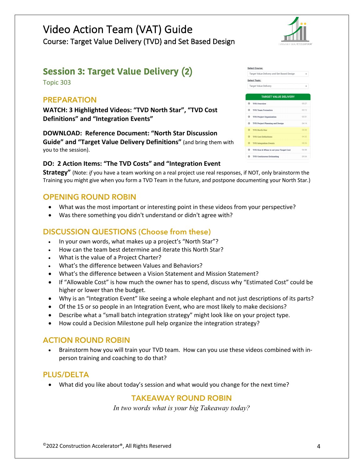

# **Session 3: Target Value Delivery (2)**

Topic 303

### **PREPARATION**

**WATCH: 3 Highlighted Videos: "TVD North Star", "TVD Cost Definitions" and "Integration Events"**

**DOWNLOAD: Reference Document: "North Star Discussion Guide" and "Target Value Delivery Definitions"** (and bring them with you to the session).

#### **DO: 2 Action Items: "The TVD Costs" and "Integration Event**

**Strategy"** (Note: *if* you have a team working on a real project use real responses, if NOT, only brainstorm the Training you might give when you form a TVD Team in the future, and postpone documenting your North Star.)

### **OPENING ROUND ROBIN**

- What was the most important or interesting point in these videos from your perspective?
- Was there something you didn't understand or didn't agree with?

### **DISCUSSION QUESTIONS (Choose from these)**

- In your own words, what makes up a project's "North Star"?
- How can the team best determine and iterate this North Star?
- What is the value of a Project Charter?
- What's the difference between Values and Behaviors?
- What's the difference between a Vision Statement and Mission Statement?
- If "Allowable Cost" is how much the owner has to spend, discuss why "Estimated Cost" could be higher or lower than the budget.
- Why is an "Integration Event" like seeing a whole elephant and not just descriptions of its parts?
- Of the 15 or so people in an Integration Event, who are most likely to make decisions?
- Describe what a "small batch integration strategy" might look like on your project type.
- How could a Decision Milestone pull help organize the integration strategy?

### **ACTION ROUND ROBIN**

• Brainstorm how you will train your TVD team. How can you use these videos combined with inperson training and coaching to do that?

### **PLUS/DELTA**

• What did you like about today's session and what would you change for the next time?

### **TAKEAWAY ROUND ROBIN**

|         | Target Value Delivery and Set Based Design | ٠     |
|---------|--------------------------------------------|-------|
|         | <b>Select Topic:</b>                       |       |
|         | <b>Target Value Delivery</b>               | ٠     |
|         |                                            |       |
|         | <b>TARGET VALUE DELIVERY</b>               |       |
| o       | <b>TVD Overview</b>                        | 05:27 |
| $\circ$ | <b>TVD Team Formation</b>                  | 03:12 |
| O.      | <b>TVD Project Organization</b>            | 03:31 |
| $\circ$ | <b>TVD Project Planning and Design</b>     | 04:14 |
| o.      | <b>TVD North Star</b>                      | 08:08 |
|         | <b>Q</b> TVD Cost Definitions              | 04:32 |
| $\circ$ | <b>TVD Integration Events</b>              | 08:26 |
| o.      | TVD How & When to set your Target Cost     | 06:58 |
|         |                                            |       |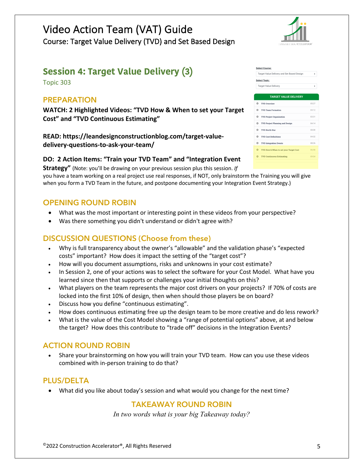

# **Session 4: Target Value Delivery (3)**

Topic 303

### **PREPARATION**

**WATCH: 2 Highlighted Videos: "TVD How & When to set your Target Cost" and "TVD Continuous Estimating"**

**READ: https://leandesignconstructionblog.com/target-valuedelivery-questions-to-ask-your-team/**

#### **DO: 2 Action Items: "Train your TVD Team" and "Integration Event**

**Strategy"** (Note: you'll be drawing on your previous session plus this session. *If* you have a team working on a real project use real responses, if NOT, only brainstorm the Training you will give when you form a TVD Team in the future, and postpone documenting your Integration Event Strategy.)

## **OPENING ROUND ROBIN**

- What was the most important or interesting point in these videos from your perspective?
- Was there something you didn't understand or didn't agree with?

# **DISCUSSION QUESTIONS (Choose from these)**

- Why is full transparency about the owner's "allowable" and the validation phase's "expected costs" important? How does it impact the setting of the "target cost"?
- How will you document assumptions, risks and unknowns in your cost estimate?
- In Session 2, one of your actions was to select the software for your Cost Model. What have you learned since then that supports or challenges your initial thoughts on this?
- What players on the team represents the major cost drivers on your projects? If 70% of costs are locked into the first 10% of design, then when should those players be on board?
- Discuss how you define "continuous estimating".
- How does continuous estimating free up the design team to be more creative and do less rework?
- What is the value of the Cost Model showing a "range of potential options" above, at and below the target? How does this contribute to "trade off" decisions in the Integration Events?

### **ACTION ROUND ROBIN**

• Share your brainstorming on how you will train your TVD team. How can you use these videos combined with in-person training to do that?

### **PLUS/DELTA**

• What did you like about today's session and what would you change for the next time?

### **TAKEAWAY ROUND ROBIN**

|         | Target Value Delivery and Set Based Design | ۵     |
|---------|--------------------------------------------|-------|
|         | <b>Select Topic:</b>                       |       |
|         | <b>Target Value Delivery</b>               | ۵     |
|         |                                            |       |
|         | <b>TARGET VALUE DELIVERY</b>               |       |
| o       | <b>TVD Overview</b>                        | 05:27 |
| $\circ$ | <b>TVD Team Formation</b>                  | 03:12 |
| o       | <b>TVD Project Organization</b>            | 03:31 |
| o       | <b>TVD Project Planning and Design</b>     | 04:14 |
| o       | <b>TVD North Star</b>                      | 08:08 |
| $\circ$ | <b>TVD Cost Definitions</b>                | 04:32 |
| o       | <b>TVD</b> Integration Events              | 08:26 |
| $\circ$ | TVD How & When to set your Target Cost     | 06:58 |
| Ω       | <b>TVD Continuous Estimating</b>           | 09:54 |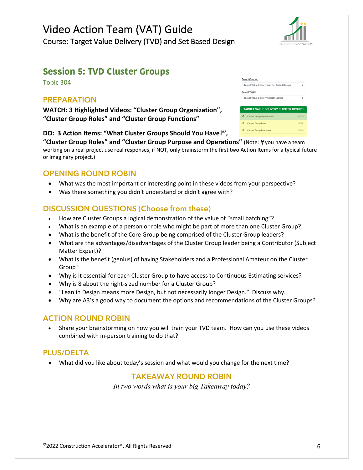

# **Session 5: TVD Cluster Groups**

Topic 304

### **PREPARATION**

**WATCH: 3 Highlighted Videos: "Cluster Group Organization", "Cluster Group Roles" and "Cluster Group Functions"**

#### **DO: 3 Action Items: "What Cluster Groups Should You Have?",**

**"Cluster Group Roles" and "Cluster Group Purpose and Operations"** (Note: *If* you have a team working on a real project use real responses, if NOT, only brainstorm the first two Action Items for a typical future or imaginary project.)

### **OPENING ROUND ROBIN**

- What was the most important or interesting point in these videos from your perspective?
- Was there something you didn't understand or didn't agree with?

### **DISCUSSION QUESTIONS (Choose from these)**

- How are Cluster Groups a logical demonstration of the value of "small batching"?
- What is an example of a person or role who might be part of more than one Cluster Group?
- What is the benefit of the Core Group being comprised of the Cluster Group leaders?
- What are the advantages/disadvantages of the Cluster Group leader being a Contributor (Subject Matter Expert)?
- What is the benefit (genius) of having Stakeholders and a Professional Amateur on the Cluster Group?
- Why is it essential for each Cluster Group to have access to Continuous Estimating services?
- Why is 8 about the right-sized number for a Cluster Group?
- "Lean in Design means more Design, but not necessarily longer Design." Discuss why.
- Why are A3's a good way to document the options and recommendations of the Cluster Groups?

### **ACTION ROUND ROBIN**

• Share your brainstorming on how you will train your TVD team. How can you use these videos combined with in-person training to do that?

### **PLUS/DELTA**

• What did you like about today's session and what would you change for the next time?

### **TAKEAWAY ROUND ROBIN**

| <b>Select Course:</b>                       |       |
|---------------------------------------------|-------|
| Target Value Delivery and Set Based Design  |       |
| <b>Select Topic:</b>                        |       |
| Target Value Delivery Cluster Groups        | ÷     |
|                                             |       |
| <b>TARGET VALUE DELIVERY CLUSTER GROUPS</b> |       |
| <b>Cluster Group Organization</b>           | 03:15 |
| <b>Cluster Group Roles</b>                  | 03:28 |
| <b>Cluster Group Functions</b>              | 05:46 |